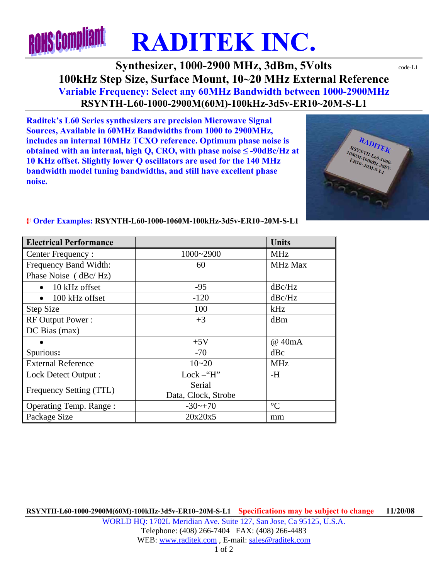## **ROHS Compliant RADITEK INC.**

## **Synthesizer, 1000-2900 MHz, 3dBm, 5Volts**  $\text{code-L1}$ **100kHz Step Size, Surface Mount, 10~20 MHz External Reference Variable Frequency: Select any 60MHz Bandwidth between 1000-2900MHz RSYNTH-L60-1000-2900M(60M)-100kHz-3d5v-ER10~20M-S-L1**

**Raditek's L60 Series synthesizers are precision Microwave Signal Sources, Available in 60MHz Bandwidths from 1000 to 2900MHz, includes an internal 10MHz TCXO reference. Optimum phase noise is obtained with an internal, high Q, CRO, with phase noise**  $\leq$  **-90dBc/Hz at 10 KHz offset. Slightly lower Q oscillators are used for the 140 MHz bandwidth model tuning bandwidths, and still have excellent phase noise.** 



| <b>Electrical Performance</b> |                      | <b>Units</b>    |
|-------------------------------|----------------------|-----------------|
| Center Frequency:             | 1000~2900            | <b>MHz</b>      |
| Frequency Band Width:         | 60                   | <b>MHz Max</b>  |
| Phase Noise (dBc/Hz)          |                      |                 |
| 10 kHz offset                 | $-95$                | dBc/Hz          |
| 100 kHz offset                | $-120$               | dBc/Hz          |
| <b>Step Size</b>              | 100                  | kHz             |
| <b>RF Output Power:</b>       | $+3$                 | dBm             |
| DC Bias(max)                  |                      |                 |
|                               | $+5V$                | @ 40mA          |
| Spurious:                     | $-70$                | dBc             |
| <b>External Reference</b>     | $10 - 20$            | <b>MHz</b>      |
| Lock Detect Output :          | Lock $-\mathrm{H}$ " | -H              |
| Frequency Setting (TTL)       | Serial               |                 |
|                               | Data, Clock, Strobe  |                 |
| <b>Operating Temp. Range:</b> | $-30$ ~+70           | $\rm ^{\circ}C$ |
| Package Size                  | 20x20x5              | mm              |

## ¨ **Order Examples: RSYNTH-L60-1000-1060M-100kHz-3d5v-ER10~20M-S-L1**

**RSYNTH-L60-1000-2900M(60M)-100kHz-3d5v-ER10~20M-S-L1 Specifications may be subject to change 11/20/08** WORLD HQ: 1702L Meridian Ave. Suite 127, San Jose, Ca 95125, U.S.A. Telephone: (408) 266-7404 FAX: (408) 266-4483 WEB: www.raditek.com, E-mail: sales@raditek.com